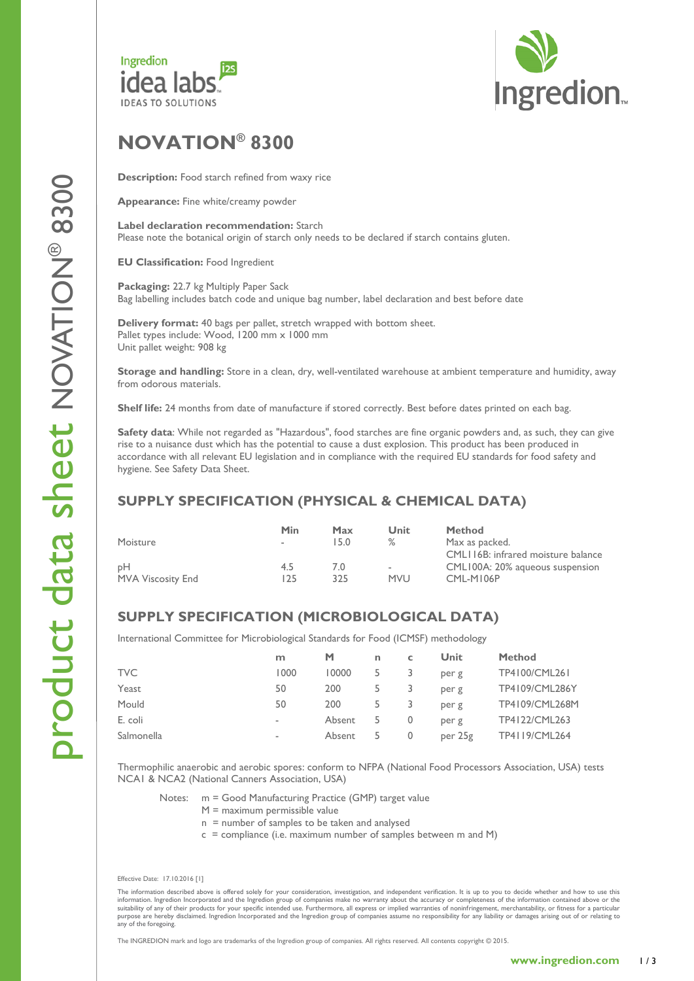



# **NOVATION ® 8 300**

**Description:** Food starch refined from waxy rice

**Appearance:** Fine white/creamy powder

**Label declaration recommendation:** Starch Please note the botanical origin of starch only needs to be declared if starch contains gluten.

**EU Classification: Food Ingredient** 

Packaging: 22.7 kg Multiply Paper Sack Bag labelling includes batch code and unique bag number, label declaration and best before date

**Delivery format:** 40 bags per pallet, stretch wrapped with bottom sheet. Pallet types include: Wood, 1200 mm x 1000 mm Unit pallet weight: 908 kg

Storage and handling: Store in a clean, dry, well-ventilated warehouse at ambient temperature and humidity, away from odorous materials.

**Shelf life:** 24 months from date of manufacture if stored correctly. Best before dates printed on each bag.

**Safety data** : While not regarded as "Hazardous", food starches are fine organic powders and, as such, they can give rise to a nuisance dust which has the potential to cause a dust explosion. This product has been produced in accordance with all relevant EU legislation and in compliance with the required EU standards for food safety and hygiene. See Safety Data Sheet.

### **SUPPLY SPECIFICATION (PHYSICAL & CHEMICAL DATA)**

|                          | Min                      | Max  | Unit         | <b>Method</b>                      |
|--------------------------|--------------------------|------|--------------|------------------------------------|
| Moisture                 | $\overline{\phantom{a}}$ | 15.0 | ℅            | Max as packed.                     |
|                          |                          |      |              | CML116B: infrared moisture balance |
| DН                       | 4.5                      | 7.0  | ٠            | CML100A: 20% agueous suspension    |
| <b>MVA Viscosity End</b> | 125                      | 325  | <b>MVI</b> J | CML-M106P                          |

## **SUPPLY SPECIFICATION (MICROBIOLOGICAL DATA)**

International Committee for Microbiological Standards for Food (ICMSF) methodology

|            | m                        | M      | n  | c | Unit    | <b>Method</b>  |
|------------|--------------------------|--------|----|---|---------|----------------|
| TVC        | 1000                     | 10000  |    |   | per g   | TP4100/CML261  |
| Yeast      | 50                       | 200    |    |   | per g   | TP4109/CML286Y |
| Mould      | 50                       | 200    | 5  |   | per g   | TP4109/CML268M |
| E. coli    | $\,$                     | Absent | 5. | 0 | per g   | TP4122/CML263  |
| Salmonella | $\overline{\phantom{a}}$ | Absent |    | 0 | per 25g | TP4119/CML264  |

Thermophilic anaerobic and aerobic spores : conform to NFPA (National Food Processors Association, USA) tests NCA1 & NCA2 (National Canners Association, USA)

Notes: m = Good Manufacturing Practice (GMP) target value

- M = maximum permissible value
- $n =$  number of samples to be taken and analysed
- c = compliance ( i.e. maximum number of samples between m and M )

Effective Date: 17.10.2016 [1]

The information described above is offered solely for your consideration, investigation, and independent verification. It is up to you to decide whether and how to use this information. In the information of the informatio any of the foregoing.

The INGREDION mark and logo are trademarks of the Ingredion group of companies. All rights reserved. All contents copyright © 201 5 .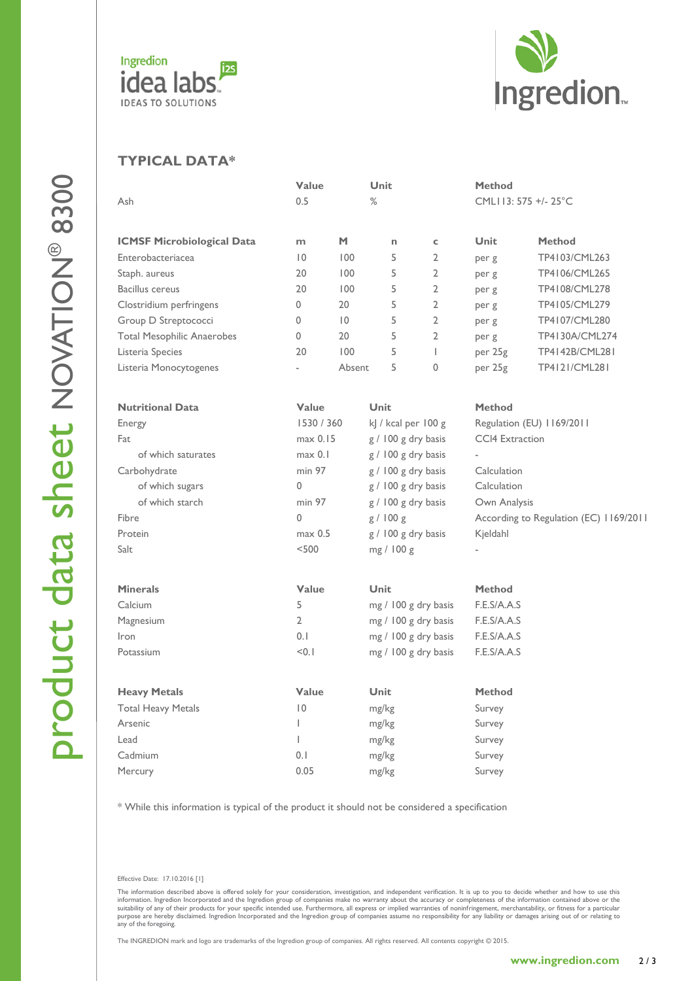



## **TYPICAL DATA \***

|                                   | Value          |                 | Unit        |                       | Method        |                                        |  |
|-----------------------------------|----------------|-----------------|-------------|-----------------------|---------------|----------------------------------------|--|
| Ash                               | 0.5            |                 | $\%$        |                       |               | CMLI13: 575 +/- 25°C                   |  |
| <b>ICMSF Microbiological Data</b> | m              | M               | n           | c                     | Unit          | <b>Method</b>                          |  |
| Enterobacteriacea                 | 10             | 100             | 5           | $\overline{2}$        | per g         | TP4103/CML263                          |  |
| Staph. aureus                     | 20             | 100             | 5           | $\overline{2}$        | per g         | TP4106/CML265                          |  |
| <b>Bacillus cereus</b>            | 20             | 100             | 5           | $\overline{2}$        | per g         | TP4108/CML278                          |  |
| Clostridium perfringens           | $\mathbf{0}$   | 20              | 5           | $\overline{2}$        | per g         | TP4105/CML279                          |  |
| Group D Streptococci              | $\mathbf{0}$   | $\overline{10}$ | 5           | $\overline{2}$        | per g         | TP4107/CML280                          |  |
| <b>Total Mesophilic Anaerobes</b> | $\mathbf{0}$   | 20              | 5           | $\overline{2}$        | per g         | TP4130A/CML274                         |  |
| Listeria Species                  | 20             | 100             | 5           | $\mathbf{I}$          | per 25g       | TP4142B/CML281                         |  |
| Listeria Monocytogenes            |                | Absent          | 5           | $\mathbf{0}$          | per 25g       | TP4121/CML281                          |  |
| <b>Nutritional Data</b>           | Value          |                 | <b>Unit</b> |                       | <b>Method</b> |                                        |  |
| Energy                            |                | 1530 / 360      |             | kJ / kcal per 100 g   |               | Regulation (EU) 1169/2011              |  |
| Fat                               |                | max 0.15        |             | g / 100 g dry basis   |               | <b>CCI4 Extraction</b>                 |  |
| of which saturates                |                | max 0.1         |             | g / 100 g dry basis   |               |                                        |  |
| Carbohydrate                      |                | min 97          |             | $g / 100 g$ dry basis |               | Calculation                            |  |
| of which sugars                   | $\mathbf{0}$   |                 |             | g / 100 g dry basis   |               | Calculation                            |  |
| of which starch                   |                | min 97          |             | g / 100 g dry basis   |               | Own Analysis                           |  |
| Fibre                             | $\mathbf{0}$   |                 |             | g / 100 g             |               | According to Regulation (EC) 1169/2011 |  |
| Protein                           |                | max 0.5         |             | g / 100 g dry basis   |               |                                        |  |
| Salt                              | < 500          |                 |             | mg / 100 g            |               |                                        |  |
| <b>Minerals</b>                   | Value          |                 | <b>Unit</b> |                       | <b>Method</b> |                                        |  |
| Calcium                           | 5              |                 |             | mg / 100 g dry basis  |               | F.E.S/A.A.S                            |  |
| Magnesium                         | $\overline{2}$ |                 |             | mg / 100 g dry basis  |               | F.E.S/A.A.S                            |  |
| Iron                              | 0.1            |                 |             | mg / 100 g dry basis  |               | F.E.S/A.A.S                            |  |
| Potassium                         | < 0.1          |                 |             | mg / 100 g dry basis  |               | F.E.S/A.A.S                            |  |
| <b>Heavy Metals</b>               | Value          |                 | Unit        |                       | <b>Method</b> |                                        |  |
| <b>Total Heavy Metals</b>         | 10             |                 | mg/kg       |                       | Survey        |                                        |  |
| Arsenic                           | L              |                 |             | mg/kg                 |               | Survey                                 |  |
| Lead                              | L              |                 |             | mg/kg                 |               | Survey                                 |  |
| Cadmium                           | 0.1            |                 |             | mg/kg                 |               | Survey                                 |  |
| Mercury                           | 0.05           |                 |             | mg/kg                 |               | Survey                                 |  |
|                                   |                |                 |             |                       |               |                                        |  |

\* While this information is typical of the product it should not be considered a specification

Effective Date: 17.10.2016 [1]

The information described above is offered solely for your consideration, investigation, and independent verification. It is up to you to decide whether and how to use this information. In the information of the informatio any of the foregoing.

The INGREDION mark and logo are trademarks of the Ingredion group of companies. All rights reserved. All contents copyright © 201 5 .

2 / 3